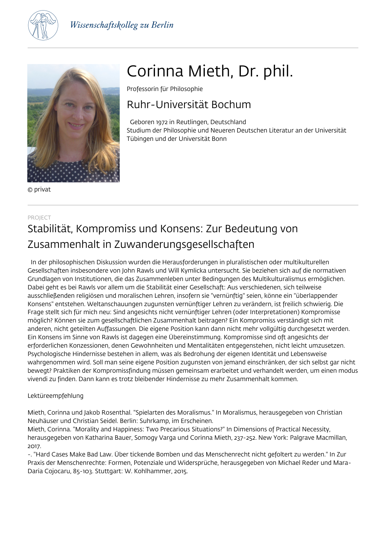



© privat

# Corinna Mieth, Dr. phil.

Professorin für Philosophie

## Ruhr-Universität Bochum

 Geboren 1972 in Reutlingen, Deutschland Studium der Philosophie und Neueren Deutschen Literatur an der Universität Tübingen und der Universität Bonn

### PROJECT Stabilität, Kompromiss und Konsens: Zur Bedeutung von Zusammenhalt in Zuwanderungsgesellschaften

 In der philosophischen Diskussion wurden die Herausforderungen in pluralistischen oder multikulturellen Gesellschaften insbesondere von John Rawls und Will Kymlicka untersucht. Sie beziehen sich auf die normativen Grundlagen von Institutionen, die das Zusammenleben unter Bedingungen des Multikulturalismus ermöglichen. Dabei geht es bei Rawls vor allem um die Stabilität einer Gesellschaft: Aus verschiedenen, sich teilweise ausschließenden religiösen und moralischen Lehren, insofern sie "vernünftig" seien, könne ein "überlappender Konsens" entstehen. Weltanschauungen zugunsten vernünftiger Lehren zu verändern, ist freilich schwierig. Die Frage stellt sich für mich neu: Sind angesichts nicht vernünftiger Lehren (oder Interpretationen) Kompromisse möglich? Können sie zum gesellschaftlichen Zusammenhalt beitragen? Ein Kompromiss verständigt sich mit anderen, nicht geteilten Auffassungen. Die eigene Position kann dann nicht mehr vollgültig durchgesetzt werden. Ein Konsens im Sinne von Rawls ist dagegen eine Übereinstimmung. Kompromisse sind oft angesichts der erforderlichen Konzessionen, denen Gewohnheiten und Mentalitäten entgegenstehen, nicht leicht umzusetzen. Psychologische Hindernisse bestehen in allem, was als Bedrohung der eigenen Identität und Lebensweise wahrgenommen wird. Soll man seine eigene Position zugunsten von jemand einschränken, der sich selbst gar nicht bewegt? Praktiken der Kompromissfindung müssen gemeinsam erarbeitet und verhandelt werden, um einen modus vivendi zu finden. Dann kann es trotz bleibender Hindernisse zu mehr Zusammenhalt kommen.

#### Lektüreempfehlung

Mieth, Corinna und Jakob Rosenthal. "Spielarten des Moralismus." In Moralismus, herausgegeben von Christian Neuhäuser und Christian Seidel. Berlin: Suhrkamp, im Erscheinen.

Mieth, Corinna. "Morality and Happiness: Two Precarious Situations?" In Dimensions of Practical Necessity, herausgegeben von Katharina Bauer, Somogy Varga und Corinna Mieth, 237-252. New York: Palgrave Macmillan, 2017.

-. "Hard Cases Make Bad Law. Über tickende Bomben und das Menschenrecht nicht gefoltert zu werden." In Zur Praxis der Menschenrechte: Formen, Potenziale und Widersprüche, herausgegeben von Michael Reder und Mara-Daria Cojocaru, 85-103. Stuttgart: W. Kohlhammer, 2015.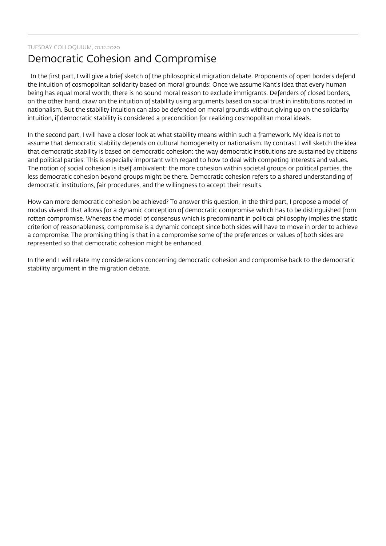#### TUESDAY COLLOQUIUM, 01.12.2020

### Democratic Cohesion and Compromise

 In the first part, I will give a brief sketch of the philosophical migration debate. Proponents of open borders defend the intuition of cosmopolitan solidarity based on moral grounds: Once we assume Kant's idea that every human being has equal moral worth, there is no sound moral reason to exclude immigrants. Defenders of closed borders, on the other hand, draw on the intuition of stability using arguments based on social trust in institutions rooted in nationalism. But the stability intuition can also be defended on moral grounds without giving up on the solidarity intuition, if democratic stability is considered a precondition for realizing cosmopolitan moral ideals.

In the second part, I will have a closer look at what stability means within such a framework. My idea is not to assume that democratic stability depends on cultural homogeneity or nationalism. By contrast I will sketch the idea that democratic stability is based on democratic cohesion: the way democratic institutions are sustained by citizens and political parties. This is especially important with regard to how to deal with competing interests and values. The notion of social cohesion is itself ambivalent: the more cohesion within societal groups or political parties, the less democratic cohesion beyond groups might be there. Democratic cohesion refers to a shared understanding of democratic institutions, fair procedures, and the willingness to accept their results.

How can more democratic cohesion be achieved? To answer this question, in the third part, I propose a model of modus vivendi that allows for a dynamic conception of democratic compromise which has to be distinguished from rotten compromise. Whereas the model of consensus which is predominant in political philosophy implies the static criterion of reasonableness, compromise is a dynamic concept since both sides will have to move in order to achieve a compromise. The promising thing is that in a compromise some of the preferences or values of both sides are represented so that democratic cohesion might be enhanced.

In the end I will relate my considerations concerning democratic cohesion and compromise back to the democratic stability argument in the migration debate.